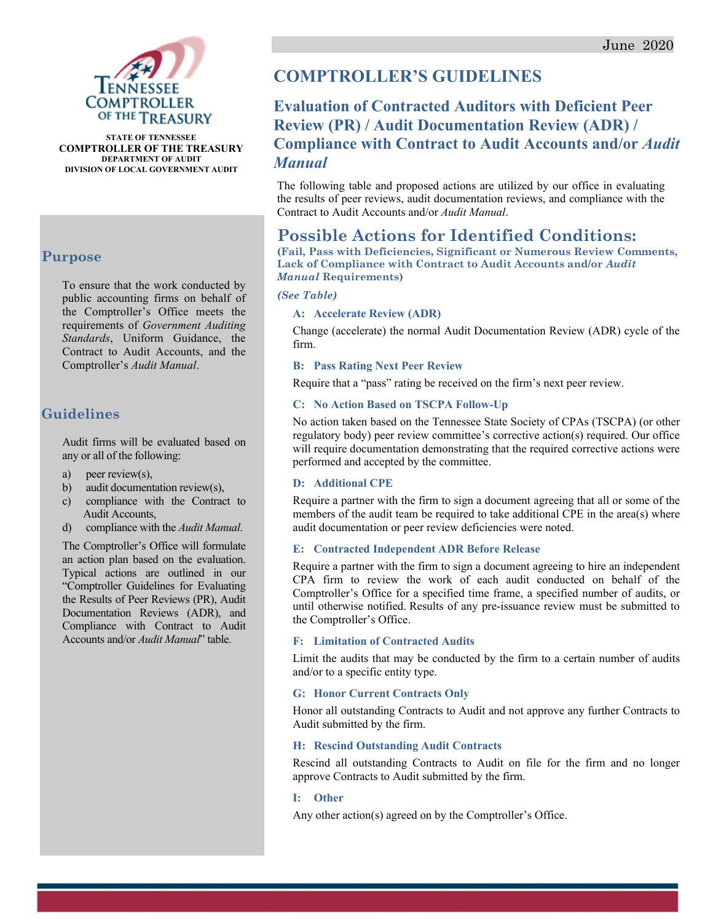

**STATE OF TENNESSEE COMPTROLLER OF THE TREASURY DEPARTMENT OF AUDIT DIVISION OF LOCAL GOVERNMENT AUDIT** 

### **Purpose**

To ensure that the work conducted by public accounting firms on behalf of the Comptroller's Office meets the requirements of *Government Auditing Standards*, Uniform Guidance, the Contract to Audit Accounts, and the Comptroller's *Audit Manual*.

### **Guidelines**

Audit firms will be evaluated based on any or all of the following:

- a) peer review(s),
- b) audit documentation review(s),
- c) compliance with the Contract to Audit Accounts,
- d) compliance with the *Audit Manual*.

The Comptroller's Office will formulate an action plan based on the evaluation. Typical actions are outlined in our "Comptroller Guidelines for Evaluating the Results of Peer Reviews (PR), Audit Documentation Reviews (ADR), and Compliance with Contract to Audit Accounts and/or *Audit Manual*" table.

# **COMPTROLLER'S GUIDELINES**

# **Evaluation of Contracted Auditors with Deficient Peer Review (PR) / Audit Documentation Review (ADR) / Compliance with Contract to Audit Accounts and/or** *Audit Manual*

The following table and proposed actions are utilized by our office in evaluating the results of peer reviews, audit documentation reviews, and compliance with the Contract to Audit Accounts and/or *Audit Manual*.

## **Possible Actions for Identified Conditions:**

**(Fail, Pass with Deficiencies, Significant or Numerous Review Comments, Lack of Compliance with Contract to Audit Accounts and/or** *Audit Manual* **Requirements)** 

#### *(See Table)*

#### **A: Accelerate Review (ADR)**

Change (accelerate) the normal Audit Documentation Review (ADR) cycle of the firm.

#### **B: Pass Rating Next Peer Review**

Require that a "pass" rating be received on the firm's next peer review.

#### **C: No Action Based on TSCPA Follow-Up**

No action taken based on the Tennessee State Society of CPAs (TSCPA) (or other regulatory body) peer review committee's corrective action(s) required. Our office will require documentation demonstrating that the required corrective actions were performed and accepted by the committee.

#### **D: Additional CPE**

Require a partner with the firm to sign a document agreeing that all or some of the members of the audit team be required to take additional CPE in the area(s) where audit documentation or peer review deficiencies were noted.

#### **E: Contracted Independent ADR Before Release**

Require a partner with the firm to sign a document agreeing to hire an independent CPA firm to review the work of each audit conducted on behalf of the Comptroller's Office for a specified time frame, a specified number of audits, or until otherwise notified. Results of any pre-issuance review must be submitted to the Comptroller's Office.

#### **F: Limitation of Contracted Audits**

Limit the audits that may be conducted by the firm to a certain number of audits and/or to a specific entity type.

#### **G: Honor Current Contracts Only**

Honor all outstanding Contracts to Audit and not approve any further Contracts to Audit submitted by the firm.

#### **H: Rescind Outstanding Audit Contracts**

Rescind all outstanding Contracts to Audit on file for the firm and no longer approve Contracts to Audit submitted by the firm.

#### **I: Other**

Any other action(s) agreed on by the Comptroller's Office.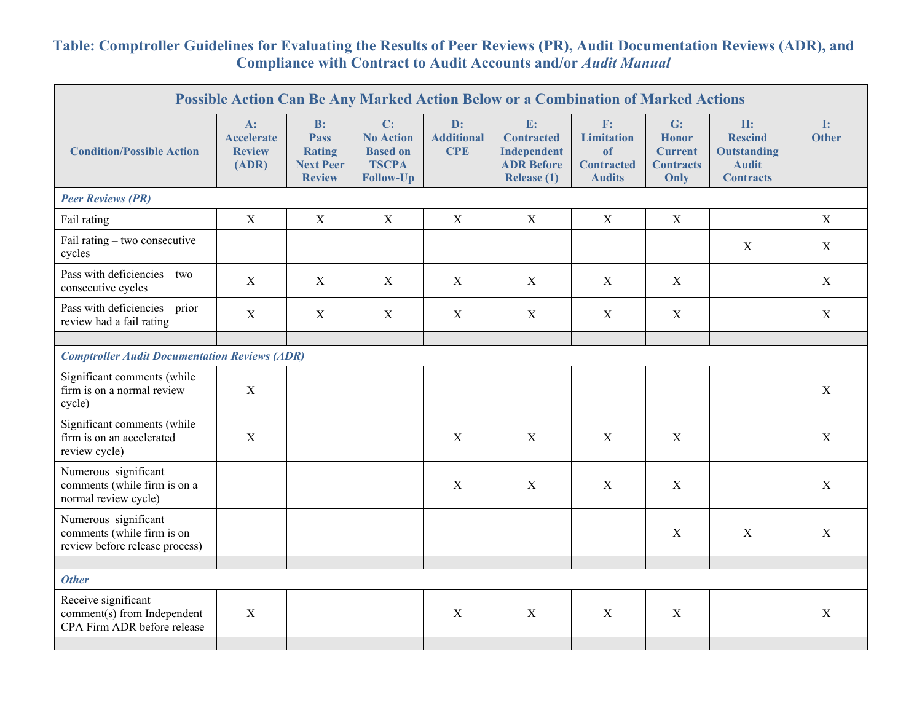## **Table: Comptroller Guidelines for Evaluating the Results of Peer Reviews (PR), Audit Documentation Reviews (ADR), and Compliance with Contract to Audit Accounts and/or** *Audit Manual*

| Possible Action Can Be Any Marked Action Below or a Combination of Marked Actions    |                                                      |                                                                         |                                                                               |                                       |                                                                            |                                                                     |                                                                  |                                                                                |                                |  |
|--------------------------------------------------------------------------------------|------------------------------------------------------|-------------------------------------------------------------------------|-------------------------------------------------------------------------------|---------------------------------------|----------------------------------------------------------------------------|---------------------------------------------------------------------|------------------------------------------------------------------|--------------------------------------------------------------------------------|--------------------------------|--|
| <b>Condition/Possible Action</b>                                                     | $A$ :<br><b>Accelerate</b><br><b>Review</b><br>(ADR) | B:<br><b>Pass</b><br><b>Rating</b><br><b>Next Peer</b><br><b>Review</b> | C:<br><b>No Action</b><br><b>Based on</b><br><b>TSCPA</b><br><b>Follow-Up</b> | D:<br><b>Additional</b><br><b>CPE</b> | E:<br><b>Contracted</b><br>Independent<br><b>ADR Before</b><br>Release (1) | F:<br><b>Limitation</b><br>of<br><b>Contracted</b><br><b>Audits</b> | G:<br><b>Honor</b><br><b>Current</b><br><b>Contracts</b><br>Only | H:<br><b>Rescind</b><br><b>Outstanding</b><br><b>Audit</b><br><b>Contracts</b> | $\mathbf{I}$ :<br><b>Other</b> |  |
| <b>Peer Reviews (PR)</b>                                                             |                                                      |                                                                         |                                                                               |                                       |                                                                            |                                                                     |                                                                  |                                                                                |                                |  |
| Fail rating                                                                          | X                                                    | $\boldsymbol{\mathrm{X}}$                                               | $\mathbf X$                                                                   | $\mathbf X$                           | $\mathbf X$                                                                | $\mathbf X$                                                         | $\mathbf X$                                                      |                                                                                | $\mathbf X$                    |  |
| Fail rating - two consecutive<br>cycles                                              |                                                      |                                                                         |                                                                               |                                       |                                                                            |                                                                     |                                                                  | $\mathbf{X}$                                                                   | X                              |  |
| Pass with deficiencies - two<br>consecutive cycles                                   | X                                                    | X                                                                       | X                                                                             | $\mathbf X$                           | X                                                                          | X                                                                   | $\mathbf X$                                                      |                                                                                | X                              |  |
| Pass with deficiencies - prior<br>review had a fail rating                           | $\mathbf X$                                          | X                                                                       | X                                                                             | $\mathbf X$                           | $\boldsymbol{X}$                                                           | $\boldsymbol{X}$                                                    | $\mathbf X$                                                      |                                                                                | X                              |  |
|                                                                                      |                                                      |                                                                         |                                                                               |                                       |                                                                            |                                                                     |                                                                  |                                                                                |                                |  |
| <b>Comptroller Audit Documentation Reviews (ADR)</b>                                 |                                                      |                                                                         |                                                                               |                                       |                                                                            |                                                                     |                                                                  |                                                                                |                                |  |
| Significant comments (while<br>firm is on a normal review<br>cycle)                  | $\mathbf X$                                          |                                                                         |                                                                               |                                       |                                                                            |                                                                     |                                                                  |                                                                                | $\mathbf X$                    |  |
| Significant comments (while<br>firm is on an accelerated<br>review cycle)            | X                                                    |                                                                         |                                                                               | X                                     | X                                                                          | $\mathbf X$                                                         | X                                                                |                                                                                | X                              |  |
| Numerous significant<br>comments (while firm is on a<br>normal review cycle)         |                                                      |                                                                         |                                                                               | $\mathbf X$                           | X                                                                          | X                                                                   | X                                                                |                                                                                | $\mathbf X$                    |  |
| Numerous significant<br>comments (while firm is on<br>review before release process) |                                                      |                                                                         |                                                                               |                                       |                                                                            |                                                                     | X                                                                | $\mathbf{X}$                                                                   | X                              |  |
|                                                                                      |                                                      |                                                                         |                                                                               |                                       |                                                                            |                                                                     |                                                                  |                                                                                |                                |  |
| <b>Other</b>                                                                         |                                                      |                                                                         |                                                                               |                                       |                                                                            |                                                                     |                                                                  |                                                                                |                                |  |
| Receive significant<br>comment(s) from Independent<br>CPA Firm ADR before release    | X                                                    |                                                                         |                                                                               | $\mathbf X$                           | $\mathbf X$                                                                | $\mathbf X$                                                         | $\mathbf X$                                                      |                                                                                | X                              |  |
|                                                                                      |                                                      |                                                                         |                                                                               |                                       |                                                                            |                                                                     |                                                                  |                                                                                |                                |  |